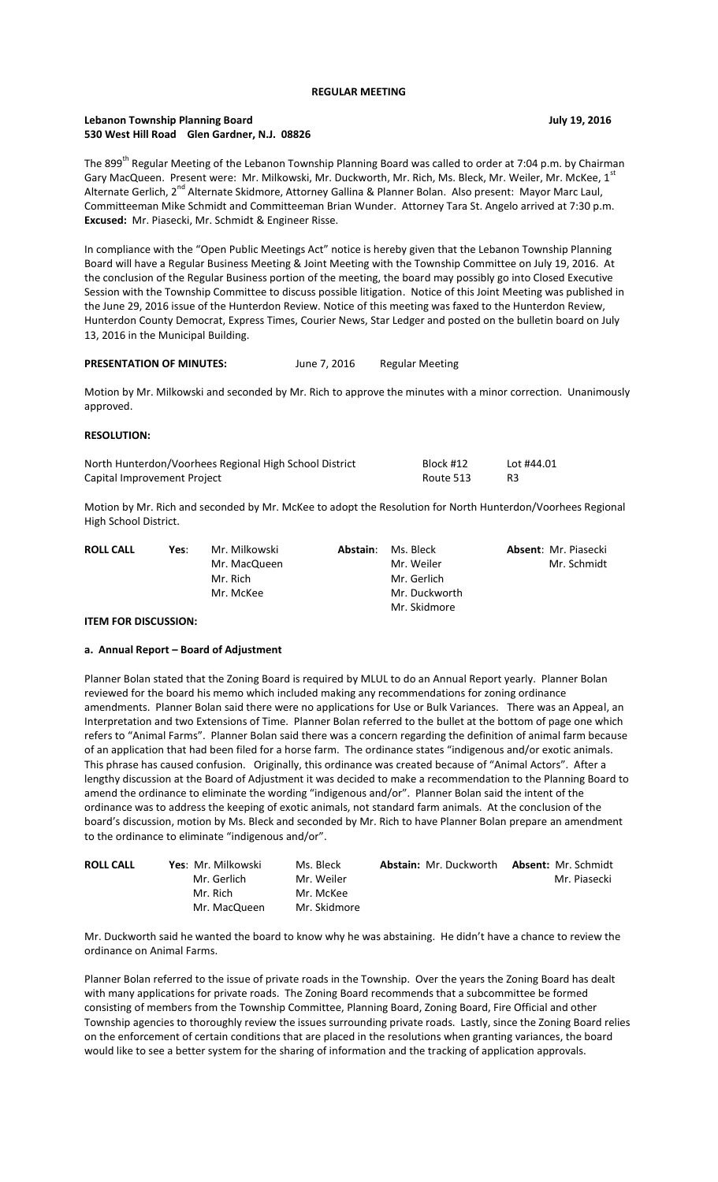## **REGULAR MEETING**

# **Lebanon Township Planning Board July 19, 2016 530 West Hill Road Glen Gardner, N.J. 08826**

The 899<sup>th</sup> Regular Meeting of the Lebanon Township Planning Board was called to order at 7:04 p.m. by Chairman Gary MacQueen. Present were: Mr. Milkowski, Mr. Duckworth, Mr. Rich, Ms. Bleck, Mr. Weiler, Mr. McKee, 1st Alternate Gerlich, 2<sup>nd</sup> Alternate Skidmore, Attorney Gallina & Planner Bolan. Also present: Mayor Marc Laul, Committeeman Mike Schmidt and Committeeman Brian Wunder. Attorney Tara St. Angelo arrived at 7:30 p.m. **Excused:** Mr. Piasecki, Mr. Schmidt & Engineer Risse.

In compliance with the "Open Public Meetings Act" notice is hereby given that the Lebanon Township Planning Board will have a Regular Business Meeting & Joint Meeting with the Township Committee on July 19, 2016. At the conclusion of the Regular Business portion of the meeting, the board may possibly go into Closed Executive Session with the Township Committee to discuss possible litigation. Notice of this Joint Meeting was published in the June 29, 2016 issue of the Hunterdon Review. Notice of this meeting was faxed to the Hunterdon Review, Hunterdon County Democrat, Express Times, Courier News, Star Ledger and posted on the bulletin board on July 13, 2016 in the Municipal Building.

# PRESENTATION OF MINUTES: June 7, 2016 Regular Meeting

Motion by Mr. Milkowski and seconded by Mr. Rich to approve the minutes with a minor correction. Unanimously approved.

### **RESOLUTION:**

| North Hunterdon/Voorhees Regional High School District | Block #12 | Lot #44.01 |
|--------------------------------------------------------|-----------|------------|
| Capital Improvement Project                            | Route 513 | R3         |

Motion by Mr. Rich and seconded by Mr. McKee to adopt the Resolution for North Hunterdon/Voorhees Regional High School District.

| <b>ROLL CALL</b> | Yes: | Mr. Milkowski | Abstain: | Ms. Bleck     | <b>Absent: Mr. Piasecki</b> |
|------------------|------|---------------|----------|---------------|-----------------------------|
|                  |      | Mr. MacQueen  |          | Mr. Weiler    | Mr. Schmidt                 |
|                  |      | Mr. Rich      |          | Mr. Gerlich   |                             |
|                  |      | Mr. McKee     |          | Mr. Duckworth |                             |
|                  |      |               |          | Mr. Skidmore  |                             |

### **ITEM FOR DISCUSSION:**

## **a. Annual Report – Board of Adjustment**

Planner Bolan stated that the Zoning Board is required by MLUL to do an Annual Report yearly. Planner Bolan reviewed for the board his memo which included making any recommendations for zoning ordinance amendments. Planner Bolan said there were no applications for Use or Bulk Variances. There was an Appeal, an Interpretation and two Extensions of Time. Planner Bolan referred to the bullet at the bottom of page one which refers to "Animal Farms". Planner Bolan said there was a concern regarding the definition of animal farm because of an application that had been filed for a horse farm. The ordinance states "indigenous and/or exotic animals. This phrase has caused confusion. Originally, this ordinance was created because of "Animal Actors". After a lengthy discussion at the Board of Adjustment it was decided to make a recommendation to the Planning Board to amend the ordinance to eliminate the wording "indigenous and/or". Planner Bolan said the intent of the ordinance was to address the keeping of exotic animals, not standard farm animals. At the conclusion of the board's discussion, motion by Ms. Bleck and seconded by Mr. Rich to have Planner Bolan prepare an amendment to the ordinance to eliminate "indigenous and/or".

| <b>ROLL CALL</b> | Yes: Mr. Milkowski | Ms. Bleck    | <b>Abstain: Mr. Duckworth</b> | <b>Absent: Mr. Schmidt</b> |
|------------------|--------------------|--------------|-------------------------------|----------------------------|
|                  | Mr. Gerlich        | Mr. Weiler   |                               | Mr. Piasecki               |
|                  | Mr. Rich           | Mr. McKee    |                               |                            |
|                  | Mr. MacQueen       | Mr. Skidmore |                               |                            |

Mr. Duckworth said he wanted the board to know why he was abstaining. He didn't have a chance to review the ordinance on Animal Farms.

Planner Bolan referred to the issue of private roads in the Township. Over the years the Zoning Board has dealt with many applications for private roads. The Zoning Board recommends that a subcommittee be formed consisting of members from the Township Committee, Planning Board, Zoning Board, Fire Official and other Township agencies to thoroughly review the issues surrounding private roads. Lastly, since the Zoning Board relies on the enforcement of certain conditions that are placed in the resolutions when granting variances, the board would like to see a better system for the sharing of information and the tracking of application approvals.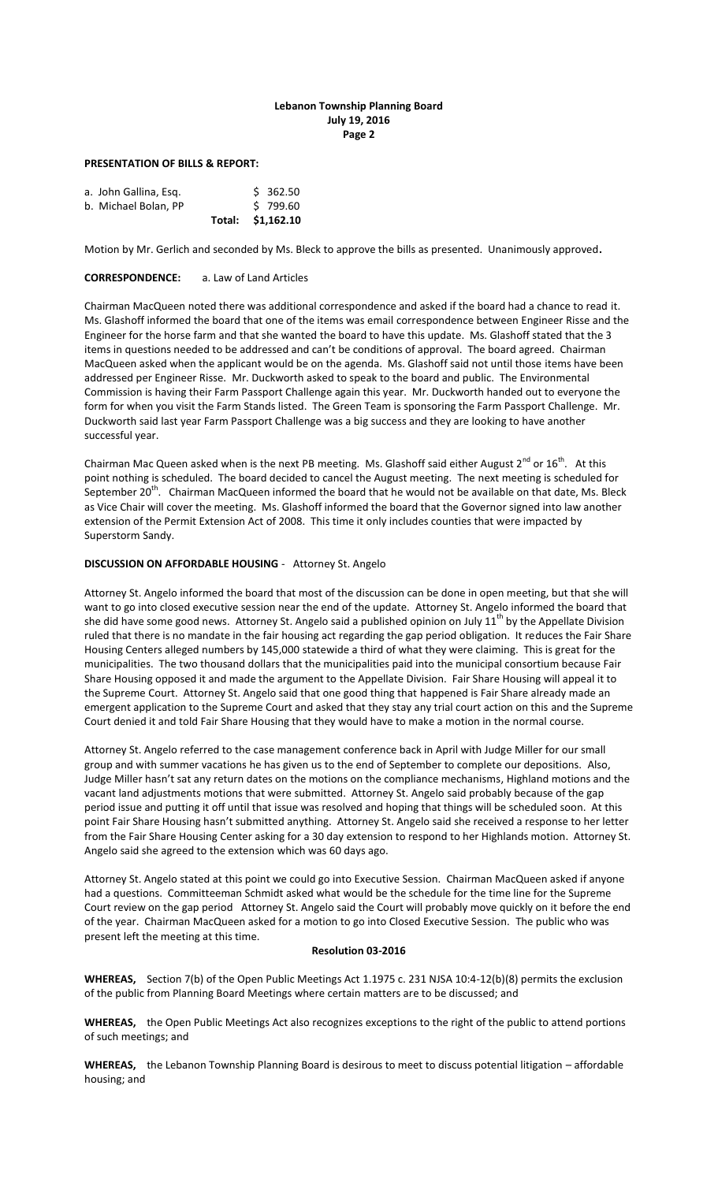# **Lebanon Township Planning Board July 19, 2016 Page 2**

### **PRESENTATION OF BILLS & REPORT:**

|                       | Total: \$1,162.10 |          |
|-----------------------|-------------------|----------|
| b. Michael Bolan, PP  |                   | 5799.60  |
| a. John Gallina, Esg. |                   | \$362.50 |

Motion by Mr. Gerlich and seconded by Ms. Bleck to approve the bills as presented. Unanimously approved**.**

## **CORRESPONDENCE:** a. Law of Land Articles

Chairman MacQueen noted there was additional correspondence and asked if the board had a chance to read it. Ms. Glashoff informed the board that one of the items was email correspondence between Engineer Risse and the Engineer for the horse farm and that she wanted the board to have this update. Ms. Glashoff stated that the 3 items in questions needed to be addressed and can't be conditions of approval. The board agreed. Chairman MacQueen asked when the applicant would be on the agenda. Ms. Glashoff said not until those items have been addressed per Engineer Risse. Mr. Duckworth asked to speak to the board and public. The Environmental Commission is having their Farm Passport Challenge again this year. Mr. Duckworth handed out to everyone the form for when you visit the Farm Stands listed. The Green Team is sponsoring the Farm Passport Challenge. Mr. Duckworth said last year Farm Passport Challenge was a big success and they are looking to have another successful year.

Chairman Mac Queen asked when is the next PB meeting. Ms. Glashoff said either August  $2^{nd}$  or  $16^{th}$ . At this point nothing is scheduled. The board decided to cancel the August meeting. The next meeting is scheduled for September 20<sup>th</sup>. Chairman MacQueen informed the board that he would not be available on that date, Ms. Bleck as Vice Chair will cover the meeting. Ms. Glashoff informed the board that the Governor signed into law another extension of the Permit Extension Act of 2008. This time it only includes counties that were impacted by Superstorm Sandy.

## **DISCUSSION ON AFFORDABLE HOUSING** - Attorney St. Angelo

Attorney St. Angelo informed the board that most of the discussion can be done in open meeting, but that she will want to go into closed executive session near the end of the update. Attorney St. Angelo informed the board that she did have some good news. Attorney St. Angelo said a published opinion on July  $11<sup>th</sup>$  by the Appellate Division ruled that there is no mandate in the fair housing act regarding the gap period obligation. It reduces the Fair Share Housing Centers alleged numbers by 145,000 statewide a third of what they were claiming. This is great for the municipalities. The two thousand dollars that the municipalities paid into the municipal consortium because Fair Share Housing opposed it and made the argument to the Appellate Division. Fair Share Housing will appeal it to the Supreme Court. Attorney St. Angelo said that one good thing that happened is Fair Share already made an emergent application to the Supreme Court and asked that they stay any trial court action on this and the Supreme Court denied it and told Fair Share Housing that they would have to make a motion in the normal course.

Attorney St. Angelo referred to the case management conference back in April with Judge Miller for our small group and with summer vacations he has given us to the end of September to complete our depositions. Also, Judge Miller hasn't sat any return dates on the motions on the compliance mechanisms, Highland motions and the vacant land adjustments motions that were submitted. Attorney St. Angelo said probably because of the gap period issue and putting it off until that issue was resolved and hoping that things will be scheduled soon. At this point Fair Share Housing hasn't submitted anything. Attorney St. Angelo said she received a response to her letter from the Fair Share Housing Center asking for a 30 day extension to respond to her Highlands motion. Attorney St. Angelo said she agreed to the extension which was 60 days ago.

Attorney St. Angelo stated at this point we could go into Executive Session. Chairman MacQueen asked if anyone had a questions. Committeeman Schmidt asked what would be the schedule for the time line for the Supreme Court review on the gap period Attorney St. Angelo said the Court will probably move quickly on it before the end of the year. Chairman MacQueen asked for a motion to go into Closed Executive Session. The public who was present left the meeting at this time.

### **Resolution 03-2016**

**WHEREAS,** Section 7(b) of the Open Public Meetings Act 1.1975 c. 231 NJSA 10:4-12(b)(8) permits the exclusion of the public from Planning Board Meetings where certain matters are to be discussed; and

**WHEREAS,** the Open Public Meetings Act also recognizes exceptions to the right of the public to attend portions of such meetings; and

**WHEREAS,** the Lebanon Township Planning Board is desirous to meet to discuss potential litigation – affordable housing; and